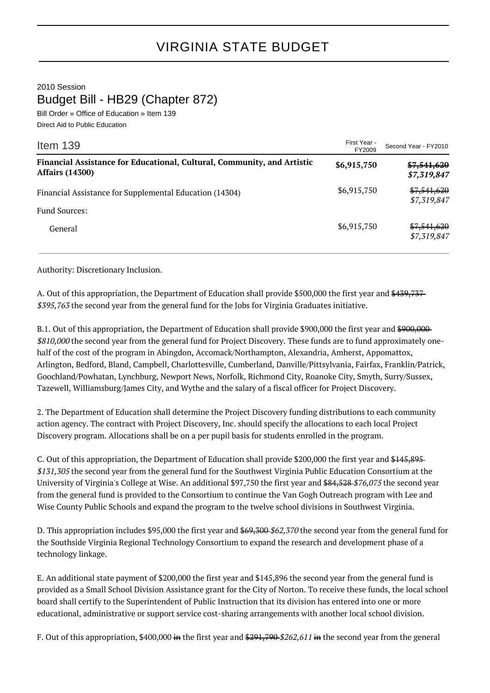## VIRGINIA STATE BUDGET

2010 Session Budget Bill - HB29 (Chapter 872)

Bill Order » Office of Education » Item 139

Direct Aid to Public Education

| Item 139                                                                                          | First Year -<br>FY2009 | Second Year - FY2010       |
|---------------------------------------------------------------------------------------------------|------------------------|----------------------------|
| Financial Assistance for Educational, Cultural, Community, and Artistic<br><b>Affairs (14300)</b> | \$6,915,750            | \$7,541,620<br>\$7,319,847 |
| Financial Assistance for Supplemental Education (14304)                                           | \$6,915,750            | \$7,541,620<br>\$7,319,847 |
| <b>Fund Sources:</b><br>General                                                                   | \$6,915,750            | \$7,541,620                |
|                                                                                                   |                        | \$7,319,847                |

Authority: Discretionary Inclusion.

A. Out of this appropriation, the Department of Education shall provide \$500,000 the first year and \$439,737-\$395,763 the second year from the general fund for the Jobs for Virginia Graduates initiative.

B.1. Out of this appropriation, the Department of Education shall provide \$900,000 the first year and \$900,000 \$810,000 the second year from the general fund for Project Discovery. These funds are to fund approximately onehalf of the cost of the program in Abingdon, Accomack/Northampton, Alexandria, Amherst, Appomattox, Arlington, Bedford, Bland, Campbell, Charlottesville, Cumberland, Danville/Pittsylvania, Fairfax, Franklin/Patrick, Goochland/Powhatan, Lynchburg, Newport News, Norfolk, Richmond City, Roanoke City, Smyth, Surry/Sussex, Tazewell, Williamsburg/James City, and Wythe and the salary of a fiscal officer for Project Discovery.

2. The Department of Education shall determine the Project Discovery funding distributions to each community action agency. The contract with Project Discovery, Inc. should specify the allocations to each local Project Discovery program. Allocations shall be on a per pupil basis for students enrolled in the program.

C. Out of this appropriation, the Department of Education shall provide \$200,000 the first year and \$145,895 \$131,305 the second year from the general fund for the Southwest Virginia Public Education Consortium at the University of Virginia's College at Wise. An additional \$97,750 the first year and \$84,528 \$76,075 the second year from the general fund is provided to the Consortium to continue the Van Gogh Outreach program with Lee and Wise County Public Schools and expand the program to the twelve school divisions in Southwest Virginia.

D. This appropriation includes \$95,000 the first year and \$69,300 \$62,370 the second year from the general fund for the Southside Virginia Regional Technology Consortium to expand the research and development phase of a technology linkage.

E. An additional state payment of \$200,000 the first year and \$145,896 the second year from the general fund is provided as a Small School Division Assistance grant for the City of Norton. To receive these funds, the local school board shall certify to the Superintendent of Public Instruction that its division has entered into one or more educational, administrative or support service cost-sharing arrangements with another local school division.

F. Out of this appropriation, \$400,000 in the first year and  $$291,790$262,611$  in the second year from the general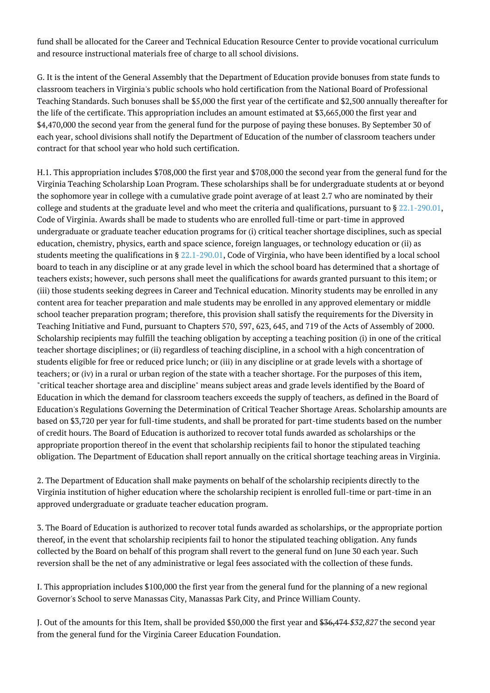fund shall be allocated for the Career and Technical Education Resource Center to provide vocational curriculum and resource instructional materials free of charge to all school divisions.

G. It is the intent of the General Assembly that the Department of Education provide bonuses from state funds to classroom teachers in Virginia's public schools who hold certification from the National Board of Professional Teaching Standards. Such bonuses shall be \$5,000 the first year of the certificate and \$2,500 annually thereafter for the life of the certificate. This appropriation includes an amount estimated at \$3,665,000 the first year and \$4,470,000 the second year from the general fund for the purpose of paying these bonuses. By September 30 of each year, school divisions shall notify the Department of Education of the number of classroom teachers under contract for that school year who hold such certification.

H.1. This appropriation includes \$708,000 the first year and \$708,000 the second year from the general fund for the Virginia Teaching Scholarship Loan Program. These scholarships shall be for undergraduate students at or beyond the sophomore year in college with a cumulative grade point average of at least 2.7 who are nominated by their college and students at the graduate level and who meet the criteria and qualifications, pursuant to  $\S 22.1$ -290.01, Code of Virginia. Awards shall be made to students who are enrolled full-time or part-time in approved undergraduate or graduate teacher education programs for (i) critical teacher shortage disciplines, such as special education, chemistry, physics, earth and space science, foreign languages, or technology education or (ii) as students meeting the qualifications in  $\S 22.1-290.01$ , Code of Virginia, who have been identified by a local school board to teach in any discipline or at any grade level in which the school board has determined that a shortage of teachers exists; however, such persons shall meet the qualifications for awards granted pursuant to this item; or (iii) those students seeking degrees in Career and Technical education. Minority students may be enrolled in any content area for teacher preparation and male students may be enrolled in any approved elementary or middle school teacher preparation program; therefore, this provision shall satisfy the requirements for the Diversity in Teaching Initiative and Fund, pursuant to Chapters 570, 597, 623, 645, and 719 of the Acts of Assembly of 2000. Scholarship recipients may fulfill the teaching obligation by accepting a teaching position (i) in one of the critical teacher shortage disciplines; or (ii) regardless of teaching discipline, in a school with a high concentration of students eligible for free or reduced price lunch; or (iii) in any discipline or at grade levels with a shortage of teachers; or (iv) in a rural or urban region of the state with a teacher shortage. For the purposes of this item, "critical teacher shortage area and discipline" means subject areas and grade levels identified by the Board of Education in which the demand for classroom teachers exceeds the supply of teachers, as defined in the Board of Education's Regulations Governing the Determination of Critical Teacher Shortage Areas. Scholarship amounts are based on \$3,720 per year for full-time students, and shall be prorated for part-time students based on the number of credit hours. The Board of Education is authorized to recover total funds awarded as scholarships or the appropriate proportion thereof in the event that scholarship recipients fail to honor the stipulated teaching obligation. The Department of Education shall report annually on the critical shortage teaching areas in Virginia.

2. The Department of Education shall make payments on behalf of the scholarship recipients directly to the Virginia institution of higher education where the scholarship recipient is enrolled full-time or part-time in an approved undergraduate or graduate teacher education program.

3. The Board of Education is authorized to recover total funds awarded as scholarships, or the appropriate portion thereof, in the event that scholarship recipients fail to honor the stipulated teaching obligation. Any funds collected by the Board on behalf of this program shall revert to the general fund on June 30 each year. Such reversion shall be the net of any administrative or legal fees associated with the collection of these funds.

I. This appropriation includes \$100,000 the first year from the general fund for the planning of a new regional Governor's School to serve Manassas City, Manassas Park City, and Prince William County.

J. Out of the amounts for this Item, shall be provided \$50,000 the first year and \$36,474 \$32,827 the second year from the general fund for the Virginia Career Education Foundation.